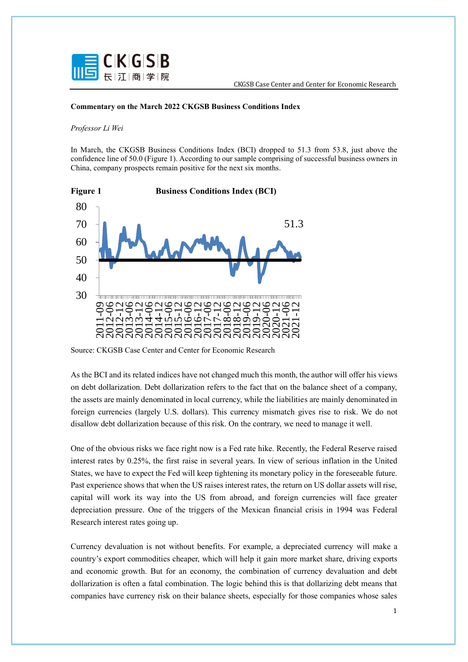

## **Commentary on the March 2022 CKGSB Business Conditions Index**

## *Professor Li Wei*

In March, the CKGSB Business Conditions Index (BCI) dropped to 51.3 from 53.8, just above the confidence line of 50.0 (Figure 1). According to our sample comprising of successful business owners in China, company prospects remain positive for the next six months.



Source: CKGSB Case Center and Center for Economic Research

As the BCI and its related indices have not changed much this month, the author will offer his views on debt dollarization. Debt dollarization refers to the fact that on the balance sheet of a company, the assets are mainly denominated in local currency, while the liabilities are mainly denominated in foreign currencies (largely U.S. dollars). This currency mismatch gives rise to risk. We do not disallow debt dollarization because of this risk. On the contrary, we need to manage it well.

One of the obvious risks we face right now is a Fed rate hike. Recently, the Federal Reserve raised interest rates by 0.25%, the first raise in several years. In view of serious inflation in the United States, we have to expect the Fed will keep tightening its monetary policy in the foreseeable future. Past experience shows that when the US raises interest rates, the return on US dollar assets will rise, capital will work its way into the US from abroad, and foreign currencies will face greater depreciation pressure. One of the triggers of the Mexican financial crisis in 1994 was Federal Research interest rates going up.

Currency devaluation is not without benefits. For example, a depreciated currency will make a country's export commodities cheaper, which will help it gain more market share, driving exports and economic growth. But for an economy, the combination of currency devaluation and debt dollarization is often a fatal combination. The logic behind this is that dollarizing debt means that companies have currency risk on their balance sheets, especially for those companies whose sales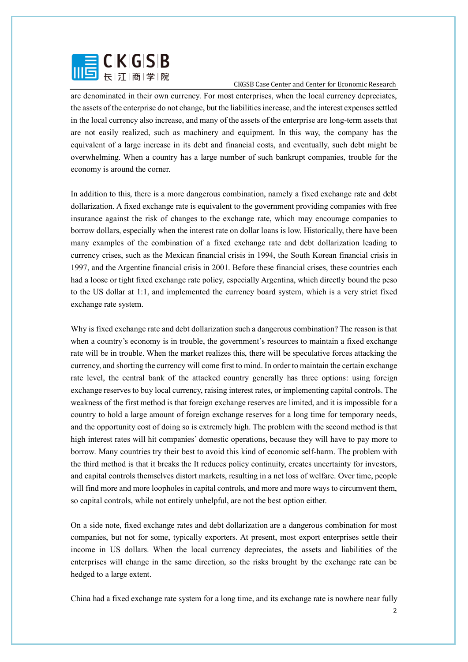

are denominated in their own currency. For most enterprises, when the local currency depreciates, the assets of the enterprise do not change, but the liabilities increase, and the interest expenses settled in the local currency also increase, and many of the assets of the enterprise are long-term assets that are not easily realized, such as machinery and equipment. In this way, the company has the equivalent of a large increase in its debt and financial costs, and eventually, such debt might be overwhelming. When a country has a large number of such bankrupt companies, trouble for the economy is around the corner.

In addition to this, there is a more dangerous combination, namely a fixed exchange rate and debt dollarization. A fixed exchange rate is equivalent to the government providing companies with free insurance against the risk of changes to the exchange rate, which may encourage companies to borrow dollars, especially when the interest rate on dollar loans is low. Historically, there have been many examples of the combination of a fixed exchange rate and debt dollarization leading to currency crises, such as the Mexican financial crisis in 1994, the South Korean financial crisis in 1997, and the Argentine financial crisis in 2001. Before these financial crises, these countries each had a loose or tight fixed exchange rate policy, especially Argentina, which directly bound the peso to the US dollar at 1:1, and implemented the currency board system, which is a very strict fixed exchange rate system.

Why is fixed exchange rate and debt dollarization such a dangerous combination? The reason is that when a country's economy is in trouble, the government's resources to maintain a fixed exchange rate will be in trouble. When the market realizes this, there will be speculative forces attacking the currency, and shorting the currency will come first to mind. In order to maintain the certain exchange rate level, the central bank of the attacked country generally has three options: using foreign exchange reserves to buy local currency, raising interest rates, or implementing capital controls. The weakness of the first method is that foreign exchange reserves are limited, and it is impossible for a country to hold a large amount of foreign exchange reserves for a long time for temporary needs, and the opportunity cost of doing so is extremely high. The problem with the second method is that high interest rates will hit companies' domestic operations, because they will have to pay more to borrow. Many countries try their best to avoid this kind of economic self-harm. The problem with the third method is that it breaks the It reduces policy continuity, creates uncertainty for investors, and capital controls themselves distort markets, resulting in a net loss of welfare. Over time, people will find more and more loopholes in capital controls, and more and more ways to circumvent them, so capital controls, while not entirely unhelpful, are not the best option either.

On a side note, fixed exchange rates and debt dollarization are a dangerous combination for most companies, but not for some, typically exporters. At present, most export enterprises settle their income in US dollars. When the local currency depreciates, the assets and liabilities of the enterprises will change in the same direction, so the risks brought by the exchange rate can be hedged to a large extent.

China had a fixed exchange rate system for a long time, and its exchange rate is nowhere near fully